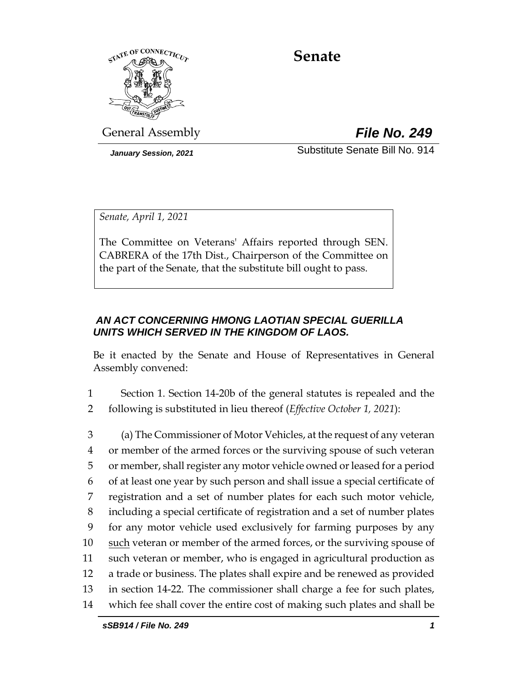

# **Senate**

General Assembly *File No. 249*

*January Session, 2021* Substitute Senate Bill No. 914

*Senate, April 1, 2021*

The Committee on Veterans' Affairs reported through SEN. CABRERA of the 17th Dist., Chairperson of the Committee on the part of the Senate, that the substitute bill ought to pass.

# *AN ACT CONCERNING HMONG LAOTIAN SPECIAL GUERILLA UNITS WHICH SERVED IN THE KINGDOM OF LAOS.*

Be it enacted by the Senate and House of Representatives in General Assembly convened:

1 Section 1. Section 14-20b of the general statutes is repealed and the 2 following is substituted in lieu thereof (*Effective October 1, 2021*):

 (a) The Commissioner of Motor Vehicles, at the request of any veteran or member of the armed forces or the surviving spouse of such veteran 5 or member, shall register any motor vehicle owned or leased for a period of at least one year by such person and shall issue a special certificate of registration and a set of number plates for each such motor vehicle, including a special certificate of registration and a set of number plates for any motor vehicle used exclusively for farming purposes by any 10 such veteran or member of the armed forces, or the surviving spouse of such veteran or member, who is engaged in agricultural production as a trade or business. The plates shall expire and be renewed as provided in section 14-22. The commissioner shall charge a fee for such plates, which fee shall cover the entire cost of making such plates and shall be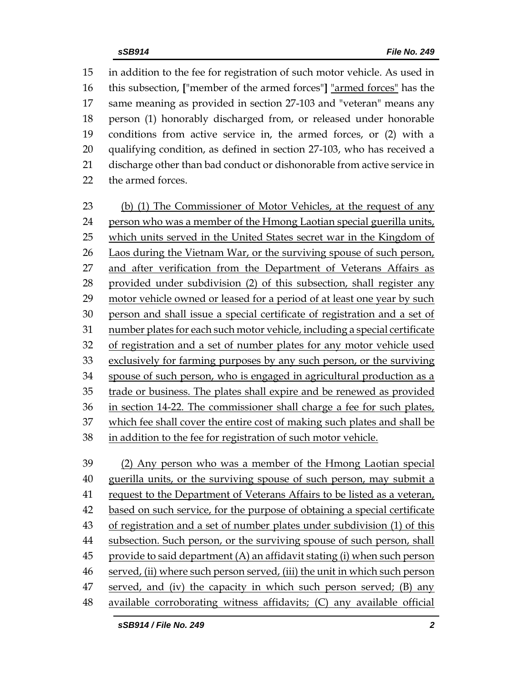in addition to the fee for registration of such motor vehicle. As used in this subsection, **[**"member of the armed forces"**]** "armed forces" has the same meaning as provided in section 27-103 and "veteran" means any person (1) honorably discharged from, or released under honorable conditions from active service in, the armed forces, or (2) with a qualifying condition, as defined in section 27-103, who has received a discharge other than bad conduct or dishonorable from active service in the armed forces.

 (b) (1) The Commissioner of Motor Vehicles, at the request of any person who was a member of the Hmong Laotian special guerilla units, which units served in the United States secret war in the Kingdom of Laos during the Vietnam War, or the surviving spouse of such person, 27 and after verification from the Department of Veterans Affairs as provided under subdivision (2) of this subsection, shall register any motor vehicle owned or leased for a period of at least one year by such person and shall issue a special certificate of registration and a set of number plates for each such motor vehicle, including a special certificate of registration and a set of number plates for any motor vehicle used exclusively for farming purposes by any such person, or the surviving spouse of such person, who is engaged in agricultural production as a trade or business. The plates shall expire and be renewed as provided in section 14-22. The commissioner shall charge a fee for such plates, which fee shall cover the entire cost of making such plates and shall be in addition to the fee for registration of such motor vehicle.

 (2) Any person who was a member of the Hmong Laotian special guerilla units, or the surviving spouse of such person, may submit a request to the Department of Veterans Affairs to be listed as a veteran, 42 based on such service, for the purpose of obtaining a special certificate of registration and a set of number plates under subdivision (1) of this subsection. Such person, or the surviving spouse of such person, shall provide to said department (A) an affidavit stating (i) when such person served, (ii) where such person served, (iii) the unit in which such person served, and (iv) the capacity in which such person served; (B) any available corroborating witness affidavits; (C) any available official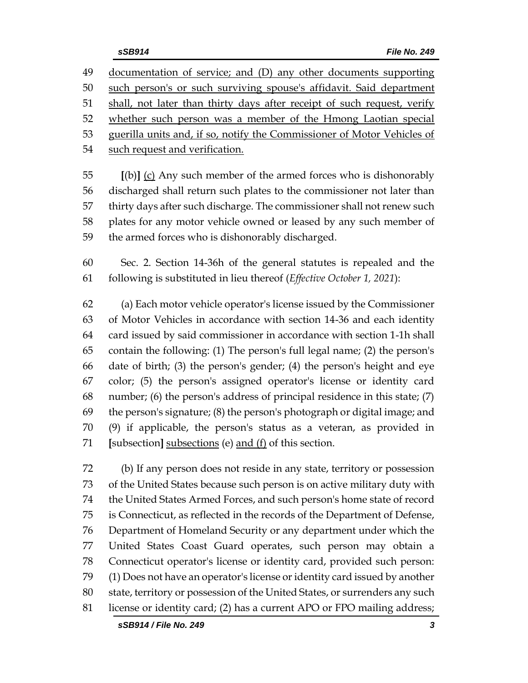documentation of service; and (D) any other documents supporting such person's or such surviving spouse's affidavit. Said department 51 shall, not later than thirty days after receipt of such request, verify whether such person was a member of the Hmong Laotian special guerilla units and, if so, notify the Commissioner of Motor Vehicles of such request and verification.

 **[**(b)**]** (c) Any such member of the armed forces who is dishonorably discharged shall return such plates to the commissioner not later than thirty days after such discharge. The commissioner shall not renew such plates for any motor vehicle owned or leased by any such member of the armed forces who is dishonorably discharged.

 Sec. 2. Section 14-36h of the general statutes is repealed and the following is substituted in lieu thereof (*Effective October 1, 2021*):

 (a) Each motor vehicle operator's license issued by the Commissioner of Motor Vehicles in accordance with section 14-36 and each identity card issued by said commissioner in accordance with section 1-1h shall contain the following: (1) The person's full legal name; (2) the person's date of birth; (3) the person's gender; (4) the person's height and eye color; (5) the person's assigned operator's license or identity card number; (6) the person's address of principal residence in this state; (7) the person's signature; (8) the person's photograph or digital image; and (9) if applicable, the person's status as a veteran, as provided in **[**subsection**]** subsections (e) and (f) of this section.

 (b) If any person does not reside in any state, territory or possession of the United States because such person is on active military duty with the United States Armed Forces, and such person's home state of record is Connecticut, as reflected in the records of the Department of Defense, Department of Homeland Security or any department under which the United States Coast Guard operates, such person may obtain a Connecticut operator's license or identity card, provided such person: (1) Does not have an operator's license or identity card issued by another state, territory or possession of the United States, or surrenders any such license or identity card; (2) has a current APO or FPO mailing address;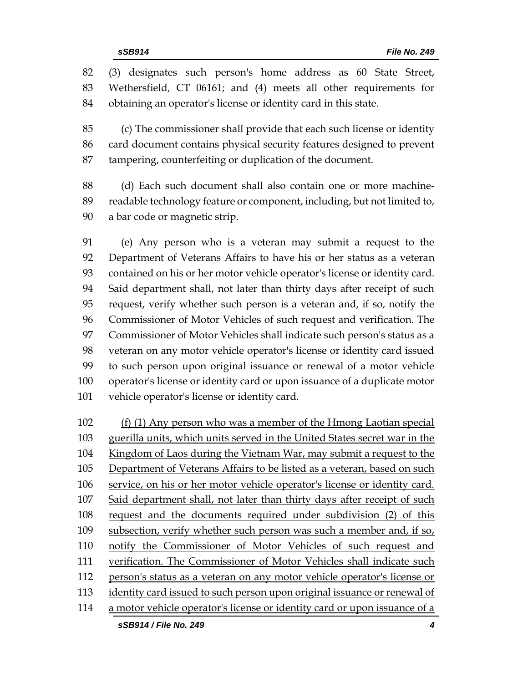(3) designates such person's home address as 60 State Street, Wethersfield, CT 06161; and (4) meets all other requirements for obtaining an operator's license or identity card in this state.

 (c) The commissioner shall provide that each such license or identity card document contains physical security features designed to prevent tampering, counterfeiting or duplication of the document.

 (d) Each such document shall also contain one or more machine- readable technology feature or component, including, but not limited to, a bar code or magnetic strip.

 (e) Any person who is a veteran may submit a request to the Department of Veterans Affairs to have his or her status as a veteran contained on his or her motor vehicle operator's license or identity card. Said department shall, not later than thirty days after receipt of such request, verify whether such person is a veteran and, if so, notify the Commissioner of Motor Vehicles of such request and verification. The Commissioner of Motor Vehicles shall indicate such person's status as a veteran on any motor vehicle operator's license or identity card issued to such person upon original issuance or renewal of a motor vehicle operator's license or identity card or upon issuance of a duplicate motor vehicle operator's license or identity card.

 (f) (1) Any person who was a member of the Hmong Laotian special guerilla units, which units served in the United States secret war in the 104 Kingdom of Laos during the Vietnam War, may submit a request to the 105 Department of Veterans Affairs to be listed as a veteran, based on such service, on his or her motor vehicle operator's license or identity card. Said department shall, not later than thirty days after receipt of such request and the documents required under subdivision (2) of this 109 subsection, verify whether such person was such a member and, if so, notify the Commissioner of Motor Vehicles of such request and verification. The Commissioner of Motor Vehicles shall indicate such person's status as a veteran on any motor vehicle operator's license or 113 identity card issued to such person upon original issuance or renewal of a motor vehicle operator's license or identity card or upon issuance of a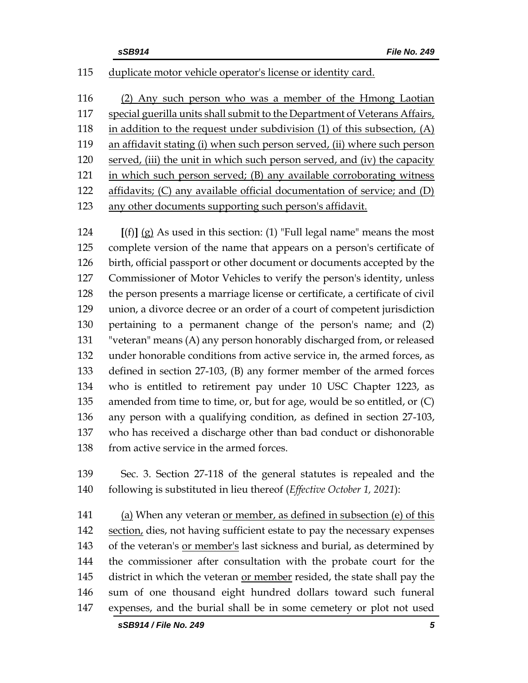## duplicate motor vehicle operator's license or identity card.

 (2) Any such person who was a member of the Hmong Laotian special guerilla units shall submit to the Department of Veterans Affairs, in addition to the request under subdivision (1) of this subsection, (A) an affidavit stating (i) when such person served, (ii) where such person served, (iii) the unit in which such person served, and (iv) the capacity in which such person served; (B) any available corroborating witness affidavits; (C) any available official documentation of service; and (D) any other documents supporting such person's affidavit.

 **[**(f)**]** (g) As used in this section: (1) "Full legal name" means the most complete version of the name that appears on a person's certificate of birth, official passport or other document or documents accepted by the Commissioner of Motor Vehicles to verify the person's identity, unless the person presents a marriage license or certificate, a certificate of civil union, a divorce decree or an order of a court of competent jurisdiction pertaining to a permanent change of the person's name; and (2) "veteran" means (A) any person honorably discharged from, or released under honorable conditions from active service in, the armed forces, as defined in section 27-103, (B) any former member of the armed forces who is entitled to retirement pay under 10 USC Chapter 1223, as amended from time to time, or, but for age, would be so entitled, or (C) any person with a qualifying condition, as defined in section 27-103, who has received a discharge other than bad conduct or dishonorable 138 from active service in the armed forces.

 Sec. 3. Section 27-118 of the general statutes is repealed and the following is substituted in lieu thereof (*Effective October 1, 2021*):

 (a) When any veteran or member, as defined in subsection (e) of this 142 section, dies, not having sufficient estate to pay the necessary expenses of the veteran's or member's last sickness and burial, as determined by the commissioner after consultation with the probate court for the 145 district in which the veteran or member resided, the state shall pay the sum of one thousand eight hundred dollars toward such funeral expenses, and the burial shall be in some cemetery or plot not used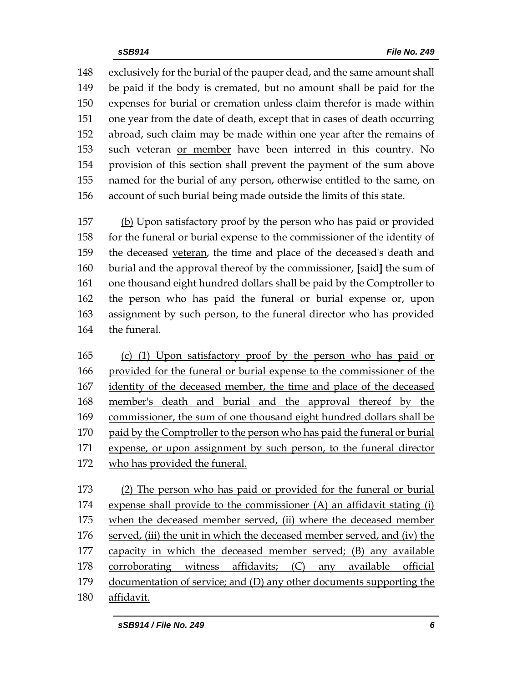exclusively for the burial of the pauper dead, and the same amount shall be paid if the body is cremated, but no amount shall be paid for the expenses for burial or cremation unless claim therefor is made within one year from the date of death, except that in cases of death occurring abroad, such claim may be made within one year after the remains of such veteran or member have been interred in this country. No provision of this section shall prevent the payment of the sum above named for the burial of any person, otherwise entitled to the same, on account of such burial being made outside the limits of this state.

157 (b) Upon satisfactory proof by the person who has paid or provided for the funeral or burial expense to the commissioner of the identity of the deceased veteran, the time and place of the deceased's death and burial and the approval thereof by the commissioner, **[**said**]** the sum of one thousand eight hundred dollars shall be paid by the Comptroller to the person who has paid the funeral or burial expense or, upon assignment by such person, to the funeral director who has provided the funeral.

 (c) (1) Upon satisfactory proof by the person who has paid or provided for the funeral or burial expense to the commissioner of the 167 identity of the deceased member, the time and place of the deceased member's death and burial and the approval thereof by the commissioner, the sum of one thousand eight hundred dollars shall be paid by the Comptroller to the person who has paid the funeral or burial 171 expense, or upon assignment by such person, to the funeral director who has provided the funeral.

 (2) The person who has paid or provided for the funeral or burial expense shall provide to the commissioner (A) an affidavit stating (i) 175 when the deceased member served, (ii) where the deceased member 176 served, (iii) the unit in which the deceased member served, and (iv) the capacity in which the deceased member served; (B) any available corroborating witness affidavits; (C) any available official documentation of service; and (D) any other documents supporting the affidavit.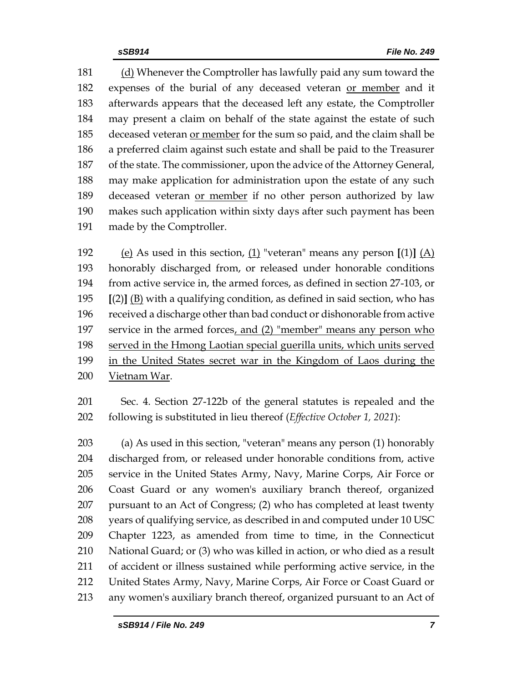(d) Whenever the Comptroller has lawfully paid any sum toward the expenses of the burial of any deceased veteran or member and it afterwards appears that the deceased left any estate, the Comptroller may present a claim on behalf of the state against the estate of such 185 deceased veteran or member for the sum so paid, and the claim shall be a preferred claim against such estate and shall be paid to the Treasurer of the state. The commissioner, upon the advice of the Attorney General, may make application for administration upon the estate of any such deceased veteran or member if no other person authorized by law makes such application within sixty days after such payment has been made by the Comptroller.

 (e) As used in this section, (1) "veteran" means any person **[**(1)**]** (A) honorably discharged from, or released under honorable conditions from active service in, the armed forces, as defined in section 27-103, or **[**(2)**]** (B) with a qualifying condition, as defined in said section, who has received a discharge other than bad conduct or dishonorable from active service in the armed forces, and (2) "member" means any person who served in the Hmong Laotian special guerilla units, which units served in the United States secret war in the Kingdom of Laos during the Vietnam War.

 Sec. 4. Section 27-122b of the general statutes is repealed and the following is substituted in lieu thereof (*Effective October 1, 2021*):

 (a) As used in this section, "veteran" means any person (1) honorably discharged from, or released under honorable conditions from, active service in the United States Army, Navy, Marine Corps, Air Force or Coast Guard or any women's auxiliary branch thereof, organized pursuant to an Act of Congress; (2) who has completed at least twenty years of qualifying service, as described in and computed under 10 USC Chapter 1223, as amended from time to time, in the Connecticut National Guard; or (3) who was killed in action, or who died as a result of accident or illness sustained while performing active service, in the United States Army, Navy, Marine Corps, Air Force or Coast Guard or any women's auxiliary branch thereof, organized pursuant to an Act of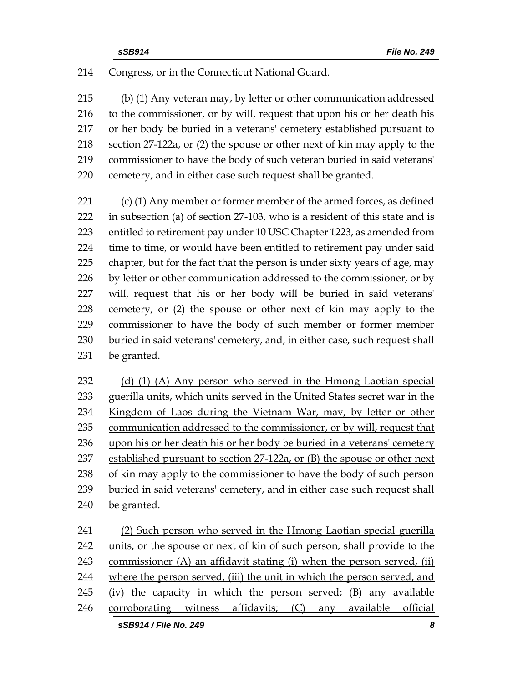Congress, or in the Connecticut National Guard.

 (b) (1) Any veteran may, by letter or other communication addressed to the commissioner, or by will, request that upon his or her death his or her body be buried in a veterans' cemetery established pursuant to section 27-122a, or (2) the spouse or other next of kin may apply to the commissioner to have the body of such veteran buried in said veterans' cemetery, and in either case such request shall be granted.

 (c) (1) Any member or former member of the armed forces, as defined in subsection (a) of section 27-103, who is a resident of this state and is entitled to retirement pay under 10 USC Chapter 1223, as amended from time to time, or would have been entitled to retirement pay under said chapter, but for the fact that the person is under sixty years of age, may 226 by letter or other communication addressed to the commissioner, or by will, request that his or her body will be buried in said veterans' cemetery, or (2) the spouse or other next of kin may apply to the commissioner to have the body of such member or former member buried in said veterans' cemetery, and, in either case, such request shall be granted.

 (d) (1) (A) Any person who served in the Hmong Laotian special 233 guerilla units, which units served in the United States secret war in the Kingdom of Laos during the Vietnam War, may, by letter or other communication addressed to the commissioner, or by will, request that upon his or her death his or her body be buried in a veterans' cemetery established pursuant to section 27-122a, or (B) the spouse or other next of kin may apply to the commissioner to have the body of such person buried in said veterans' cemetery, and in either case such request shall be granted.

 (2) Such person who served in the Hmong Laotian special guerilla units, or the spouse or next of kin of such person, shall provide to the commissioner (A) an affidavit stating (i) when the person served, (ii) where the person served, (iii) the unit in which the person served, and (iv) the capacity in which the person served; (B) any available corroborating witness affidavits; (C) any available official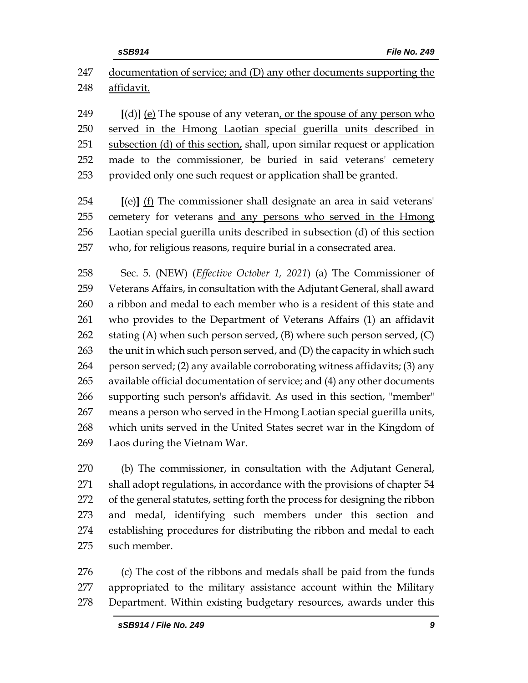| 247 | documentation of service; and (D) any other documents supporting the        |
|-----|-----------------------------------------------------------------------------|
| 248 | affidavit.                                                                  |
|     |                                                                             |
| 249 | [(d)] (e) The spouse of any veteran, or the spouse of any person who        |
| 250 | served in the Hmong Laotian special guerilla units described in             |
| 251 | subsection (d) of this section, shall, upon similar request or application  |
| 252 | made to the commissioner, be buried in said veterans' cemetery              |
| 253 | provided only one such request or application shall be granted.             |
| 254 | [(e)] (f) The commissioner shall designate an area in said veterans'        |
| 255 | cemetery for veterans and any persons who served in the Hmong               |
| 256 | Laotian special guerilla units described in subsection (d) of this section  |
| 257 | who, for religious reasons, require burial in a consecrated area.           |
| 258 |                                                                             |
|     | Sec. 5. (NEW) (Effective October 1, 2021) (a) The Commissioner of           |
| 259 | Veterans Affairs, in consultation with the Adjutant General, shall award    |
| 260 | a ribbon and medal to each member who is a resident of this state and       |
| 261 | who provides to the Department of Veterans Affairs (1) an affidavit         |
| 262 | stating (A) when such person served, $(B)$ where such person served, $(C)$  |
| 263 | the unit in which such person served, and (D) the capacity in which such    |
| 264 | person served; (2) any available corroborating witness affidavits; (3) any  |
| 265 | available official documentation of service; and (4) any other documents    |
| 266 | supporting such person's affidavit. As used in this section, "member"       |
| 267 | means a person who served in the Hmong Laotian special guerilla units,      |
| 268 | which units served in the United States secret war in the Kingdom of        |
| 269 | Laos during the Vietnam War.                                                |
| 270 | (b) The commissioner, in consultation with the Adjutant General,            |
| 271 | shall adopt regulations, in accordance with the provisions of chapter 54    |
| 272 | of the general statutes, setting forth the process for designing the ribbon |
| 273 | and medal, identifying such members under this section and                  |
| 274 | establishing procedures for distributing the ribbon and medal to each       |
| 275 | such member.                                                                |

 (c) The cost of the ribbons and medals shall be paid from the funds appropriated to the military assistance account within the Military Department. Within existing budgetary resources, awards under this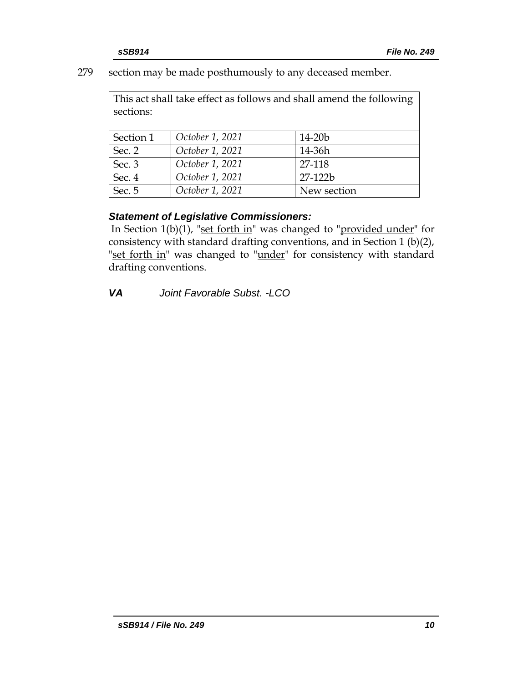279 section may be made posthumously to any deceased member.

This act shall take effect as follows and shall amend the following sections:

| Section 1 | October 1, 2021 | $14 - 20b$  |
|-----------|-----------------|-------------|
| Sec. 2    | October 1, 2021 | 14-36h      |
| Sec. 3    | October 1, 2021 | 27-118      |
| Sec. 4    | October 1, 2021 | 27-122b     |
| Sec. 5    | October 1, 2021 | New section |

# *Statement of Legislative Commissioners:*

In Section  $1(b)(1)$ , "set forth in" was changed to "provided under" for consistency with standard drafting conventions, and in Section 1 (b)(2), "set forth in" was changed to "under" for consistency with standard drafting conventions.

*VA Joint Favorable Subst. -LCO*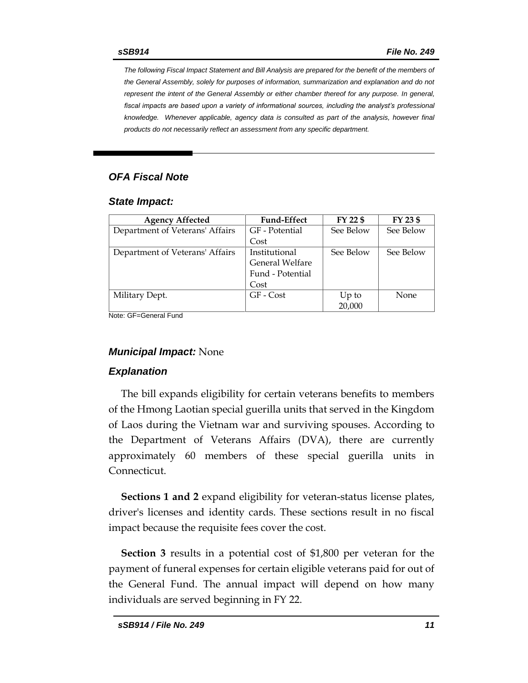*The following Fiscal Impact Statement and Bill Analysis are prepared for the benefit of the members of the General Assembly, solely for purposes of information, summarization and explanation and do not represent the intent of the General Assembly or either chamber thereof for any purpose. In general,*  fiscal impacts are based upon a variety of informational sources, including the analyst's professional *knowledge. Whenever applicable, agency data is consulted as part of the analysis, however final products do not necessarily reflect an assessment from any specific department.*

# *OFA Fiscal Note*

#### *State Impact:*

| <b>Agency Affected</b>          | <b>Fund-Effect</b> | FY 22 \$  | FY 23 \$    |
|---------------------------------|--------------------|-----------|-------------|
| Department of Veterans' Affairs | GF - Potential     | See Below | See Below   |
|                                 | Cost               |           |             |
| Department of Veterans' Affairs | Institutional      | See Below | See Below   |
|                                 | General Welfare    |           |             |
|                                 | Fund - Potential   |           |             |
|                                 | Cost               |           |             |
| Military Dept.                  | GF - Cost          | $Up$ to   | <b>None</b> |
|                                 |                    | 20,000    |             |

Note: GF=General Fund

#### *Municipal Impact:* None

#### *Explanation*

The bill expands eligibility for certain veterans benefits to members of the Hmong Laotian special guerilla units that served in the Kingdom of Laos during the Vietnam war and surviving spouses. According to the Department of Veterans Affairs (DVA), there are currently approximately 60 members of these special guerilla units in Connecticut.

**Sections 1 and 2** expand eligibility for veteran-status license plates, driver's licenses and identity cards. These sections result in no fiscal impact because the requisite fees cover the cost.

**Section 3** results in a potential cost of \$1,800 per veteran for the payment of funeral expenses for certain eligible veterans paid for out of the General Fund. The annual impact will depend on how many individuals are served beginning in FY 22.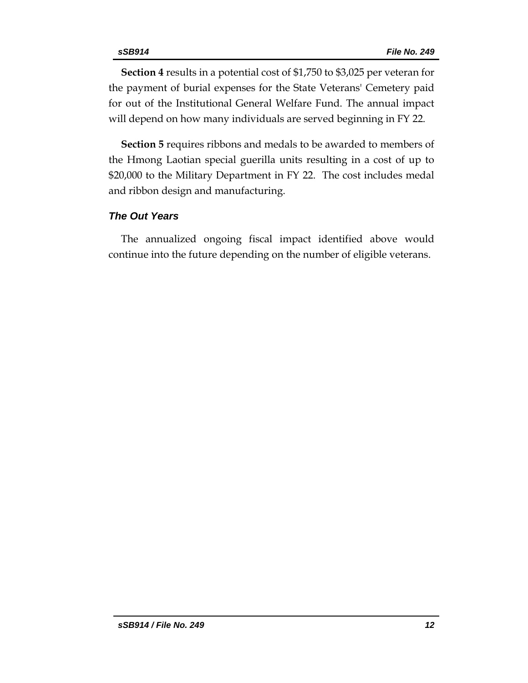**Section 4** results in a potential cost of \$1,750 to \$3,025 per veteran for the payment of burial expenses for the State Veterans' Cemetery paid for out of the Institutional General Welfare Fund. The annual impact will depend on how many individuals are served beginning in FY 22.

**Section 5** requires ribbons and medals to be awarded to members of the Hmong Laotian special guerilla units resulting in a cost of up to \$20,000 to the Military Department in FY 22. The cost includes medal and ribbon design and manufacturing.

## *The Out Years*

The annualized ongoing fiscal impact identified above would continue into the future depending on the number of eligible veterans.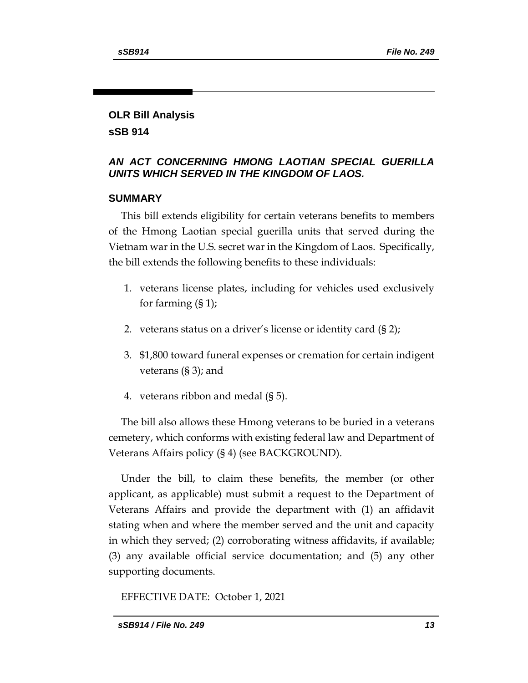# **OLR Bill Analysis sSB 914**

## *AN ACT CONCERNING HMONG LAOTIAN SPECIAL GUERILLA UNITS WHICH SERVED IN THE KINGDOM OF LAOS.*

## **SUMMARY**

This bill extends eligibility for certain veterans benefits to members of the Hmong Laotian special guerilla units that served during the Vietnam war in the U.S. secret war in the Kingdom of Laos. Specifically, the bill extends the following benefits to these individuals:

- 1. veterans license plates, including for vehicles used exclusively for farming (§ 1);
- 2. veterans status on a driver's license or identity card (§ 2);
- 3. \$1,800 toward funeral expenses or cremation for certain indigent veterans (§ 3); and
- 4. veterans ribbon and medal (§ 5).

The bill also allows these Hmong veterans to be buried in a veterans cemetery, which conforms with existing federal law and Department of Veterans Affairs policy (§ 4) (see BACKGROUND).

Under the bill, to claim these benefits, the member (or other applicant, as applicable) must submit a request to the Department of Veterans Affairs and provide the department with (1) an affidavit stating when and where the member served and the unit and capacity in which they served; (2) corroborating witness affidavits, if available; (3) any available official service documentation; and (5) any other supporting documents.

EFFECTIVE DATE: October 1, 2021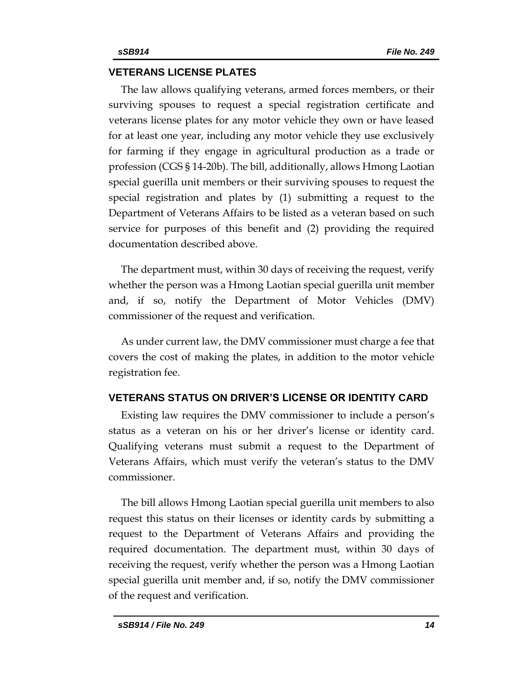#### **VETERANS LICENSE PLATES**

The law allows qualifying veterans, armed forces members, or their surviving spouses to request a special registration certificate and veterans license plates for any motor vehicle they own or have leased for at least one year, including any motor vehicle they use exclusively for farming if they engage in agricultural production as a trade or profession (CGS § 14-20b). The bill, additionally, allows Hmong Laotian special guerilla unit members or their surviving spouses to request the special registration and plates by (1) submitting a request to the Department of Veterans Affairs to be listed as a veteran based on such service for purposes of this benefit and (2) providing the required documentation described above.

The department must, within 30 days of receiving the request, verify whether the person was a Hmong Laotian special guerilla unit member and, if so, notify the Department of Motor Vehicles (DMV) commissioner of the request and verification.

As under current law, the DMV commissioner must charge a fee that covers the cost of making the plates, in addition to the motor vehicle registration fee.

## **VETERANS STATUS ON DRIVER'S LICENSE OR IDENTITY CARD**

Existing law requires the DMV commissioner to include a person's status as a veteran on his or her driver's license or identity card. Qualifying veterans must submit a request to the Department of Veterans Affairs, which must verify the veteran's status to the DMV commissioner.

The bill allows Hmong Laotian special guerilla unit members to also request this status on their licenses or identity cards by submitting a request to the Department of Veterans Affairs and providing the required documentation. The department must, within 30 days of receiving the request, verify whether the person was a Hmong Laotian special guerilla unit member and, if so, notify the DMV commissioner of the request and verification.